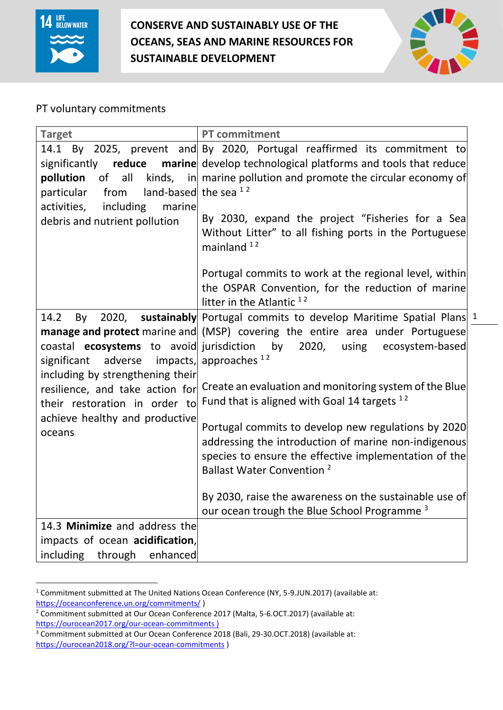

 $\overline{a}$ 

# **CONSERVE AND SUSTAINABLY USE OF THE OCEANS, SEAS AND MARINE RESOURCES FOR SUSTAINABLE DEVELOPMENT**



# PT voluntary commitments

| <b>Target</b>                                   | <b>PT</b> commitment                                                                 |
|-------------------------------------------------|--------------------------------------------------------------------------------------|
|                                                 | 14.1 By 2025, prevent and By 2020, Portugal reaffirmed its commitment to             |
| significantly<br>reduce                         | marine develop technological platforms and tools that reduce                         |
| pollution<br>of all                             | kinds, $\frac{1}{2}$ in marine pollution and promote the circular economy of         |
| land-based the sea $12$<br>particular<br>from   |                                                                                      |
| including<br>activities,<br>marine              |                                                                                      |
| debris and nutrient pollution                   | By 2030, expand the project "Fisheries for a Sea                                     |
|                                                 | Without Litter" to all fishing ports in the Portuguese                               |
|                                                 | mainland <sup>12</sup>                                                               |
|                                                 | Portugal commits to work at the regional level, within                               |
|                                                 | the OSPAR Convention, for the reduction of marine                                    |
|                                                 | litter in the Atlantic $12$                                                          |
| 14.2<br>2020,<br>By                             | sustainably Portugal commits to develop Maritime Spatial Plans 1                     |
|                                                 | <b>manage and protect</b> marine and (MSP) covering the entire area under Portuguese |
| coastal <b>ecosystems</b> to avoid jurisdiction | by<br>2020,<br>using<br>ecosystem-based                                              |
| adverse<br>significant                          | impacts, approaches $12$                                                             |
| including by strengthening their                |                                                                                      |
| resilience, and take action for                 | Create an evaluation and monitoring system of the Blue                               |
| their restoration in order to                   | Fund that is aligned with Goal 14 targets $12$                                       |
| achieve healthy and productive                  |                                                                                      |
| oceans                                          | Portugal commits to develop new regulations by 2020                                  |
|                                                 | addressing the introduction of marine non-indigenous                                 |
|                                                 | species to ensure the effective implementation of the                                |
|                                                 | <b>Ballast Water Convention</b> <sup>2</sup>                                         |
|                                                 |                                                                                      |
|                                                 | By 2030, raise the awareness on the sustainable use of                               |
| 14.3 Minimize and address the                   | our ocean trough the Blue School Programme <sup>3</sup>                              |
| impacts of ocean acidification,                 |                                                                                      |
| including through enhanced                      |                                                                                      |
|                                                 |                                                                                      |

<sup>&</sup>lt;sup>1</sup> Commitment submitted at The United Nations Ocean Conference (NY, 5-9.JUN.2017) (available at: <https://oceanconference.un.org/commitments/> )

<sup>&</sup>lt;sup>2</sup> Commitment submitted at Our Ocean Conference 2017 (Malta, 5-6.OCT.2017) (available at: <https://ourocean2017.org/our-ocean-commitments> )

<sup>&</sup>lt;sup>3</sup> Commitment submitted at Our Ocean Conference 2018 (Bali, 29-30.OCT.2018) (available at: <https://ourocean2018.org/?l=our-ocean-commitments> )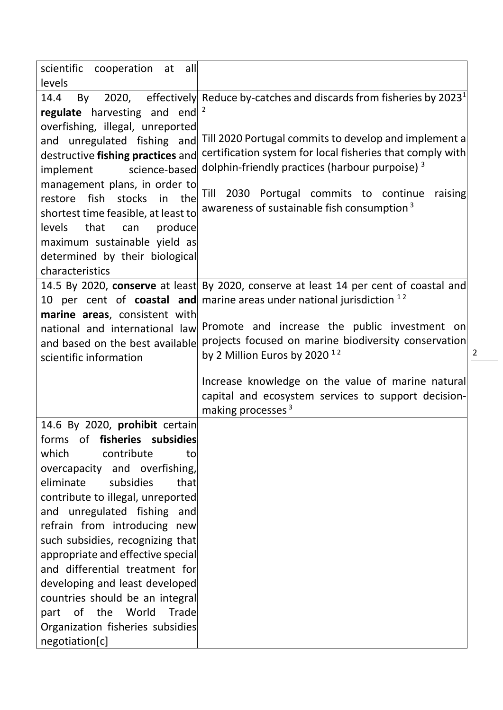| scientific cooperation at all                             |                                                                                       |
|-----------------------------------------------------------|---------------------------------------------------------------------------------------|
| levels                                                    |                                                                                       |
| 14.4<br>By                                                | 2020, effectively Reduce by-catches and discards from fisheries by 2023 <sup>1</sup>  |
| regulate harvesting and end $2$                           |                                                                                       |
| overfishing, illegal, unreported                          |                                                                                       |
| and unregulated fishing and                               | Till 2020 Portugal commits to develop and implement a                                 |
| destructive fishing practices and                         | certification system for local fisheries that comply with                             |
| science-based<br>implement                                | dolphin-friendly practices (harbour purpoise) <sup>3</sup>                            |
| management plans, in order to                             | 2030 Portugal commits to continue<br>Till<br>raising                                  |
| restore fish stocks in the                                | awareness of sustainable fish consumption <sup>3</sup>                                |
| shortest time feasible, at least to                       |                                                                                       |
| levels that<br>produce<br>can                             |                                                                                       |
| maximum sustainable yield as                              |                                                                                       |
| determined by their biological                            |                                                                                       |
| characteristics                                           |                                                                                       |
|                                                           | 14.5 By 2020, conserve at least By 2020, conserve at least 14 per cent of coastal and |
|                                                           | 10 per cent of <b>coastal and</b> marine areas under national jurisdiction $12$       |
| marine areas, consistent with                             | Promote and increase the public investment on                                         |
| national and international law                            | projects focused on marine biodiversity conservation                                  |
| and based on the best available<br>scientific information | by 2 Million Euros by 2020 $12$                                                       |
|                                                           |                                                                                       |
|                                                           | Increase knowledge on the value of marine natural                                     |
|                                                           | capital and ecosystem services to support decision-                                   |
|                                                           | making processes <sup>3</sup>                                                         |
| 14.6 By 2020, prohibit certain                            |                                                                                       |
| forms of <b>fisheries</b> subsidies                       |                                                                                       |
| contribute<br>which<br>to                                 |                                                                                       |
| overcapacity and overfishing,                             |                                                                                       |
| eliminate<br>subsidies<br>that                            |                                                                                       |
| contribute to illegal, unreported                         |                                                                                       |
| and unregulated fishing and                               |                                                                                       |
| refrain from introducing new                              |                                                                                       |
| such subsidies, recognizing that                          |                                                                                       |
| appropriate and effective special                         |                                                                                       |
| and differential treatment for                            |                                                                                       |
| developing and least developed                            |                                                                                       |
| countries should be an integral                           |                                                                                       |
| part of the World<br>Trade                                |                                                                                       |
| Organization fisheries subsidies                          |                                                                                       |
| negotiation[c]                                            |                                                                                       |

 $\frac{2}{2}$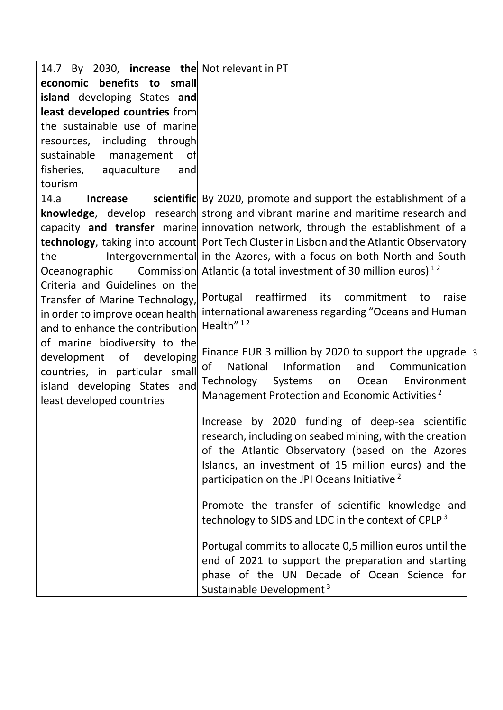| 14.7 By 2030, <b>increase the</b> Not relevant in PT |                                                                                                  |  |
|------------------------------------------------------|--------------------------------------------------------------------------------------------------|--|
| economic benefits to small                           |                                                                                                  |  |
| island developing States and                         |                                                                                                  |  |
| least developed countries from                       |                                                                                                  |  |
| the sustainable use of marine                        |                                                                                                  |  |
| resources, including through                         |                                                                                                  |  |
| sustainable management<br>0f                         |                                                                                                  |  |
| fisheries, aquaculture<br>and                        |                                                                                                  |  |
| tourism                                              |                                                                                                  |  |
| 14.a<br><b>Increase</b>                              | scientific By 2020, promote and support the establishment of a                                   |  |
|                                                      | knowledge, develop research strong and vibrant marine and maritime research and                  |  |
|                                                      | capacity and transfer marine innovation network, through the establishment of a                  |  |
|                                                      | <b>technology</b> , taking into account Port Tech Cluster in Lisbon and the Atlantic Observatory |  |
| the                                                  | Intergovernmental in the Azores, with a focus on both North and South                            |  |
| Oceanographic                                        | Commission Atlantic (a total investment of 30 million euros) <sup>12</sup>                       |  |
| Criteria and Guidelines on the                       |                                                                                                  |  |
| Transfer of Marine Technology,                       | Portugal reaffirmed its commitment<br>raisel<br>to                                               |  |
| in order to improve ocean health                     | international awareness regarding "Oceans and Human<br>Health" <sup>12</sup>                     |  |
| and to enhance the contribution                      |                                                                                                  |  |
| of marine biodiversity to the                        | Finance EUR 3 million by 2020 to support the upgrade 3                                           |  |
| development of developing                            | Information<br>of<br>National<br>Communication<br>and                                            |  |
| countries, in particular small                       | Ocean<br>Environment<br>Technology Systems<br>on                                                 |  |
| island developing States and                         | Management Protection and Economic Activities <sup>2</sup>                                       |  |
| least developed countries                            |                                                                                                  |  |
|                                                      | Increase by 2020 funding of deep-sea scientific                                                  |  |
|                                                      | research, including on seabed mining, with the creation                                          |  |
|                                                      | of the Atlantic Observatory (based on the Azores                                                 |  |
|                                                      | Islands, an investment of 15 million euros) and the                                              |  |
|                                                      | participation on the JPI Oceans Initiative <sup>2</sup>                                          |  |
|                                                      |                                                                                                  |  |
|                                                      | Promote the transfer of scientific knowledge and                                                 |  |
|                                                      | technology to SIDS and LDC in the context of CPLP <sup>3</sup>                                   |  |
|                                                      | Portugal commits to allocate 0,5 million euros until the                                         |  |
|                                                      | end of 2021 to support the preparation and starting                                              |  |
|                                                      | phase of the UN Decade of Ocean Science for                                                      |  |
|                                                      | Sustainable Development <sup>3</sup>                                                             |  |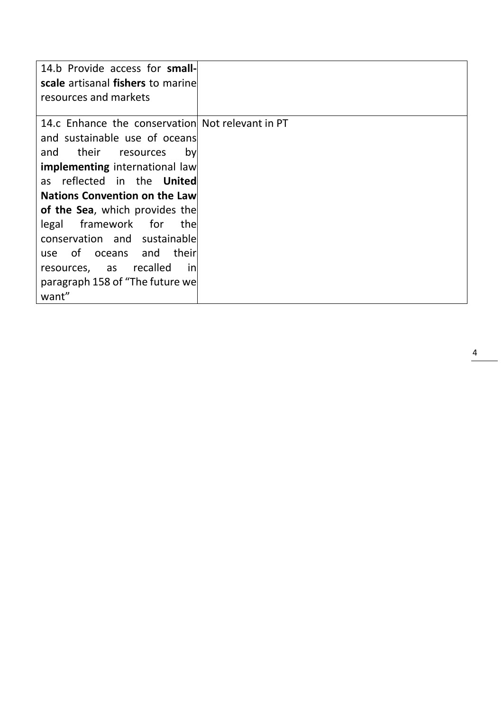| 14.b Provide access for small-                   |  |
|--------------------------------------------------|--|
| scale artisanal fishers to marine                |  |
| resources and markets                            |  |
| 14.c Enhance the conservation Not relevant in PT |  |
| and sustainable use of oceans                    |  |
| their<br>and<br>by<br>resources                  |  |
| <b>implementing</b> international law            |  |
| as reflected in the <b>United</b>                |  |
| <b>Nations Convention on the Law</b>             |  |
| <b>of the Sea</b> , which provides the           |  |
| legal framework for<br>thel                      |  |
| conservation and sustainable                     |  |
| their<br>of oceans and<br>use                    |  |
| resources, as recalled<br>inl                    |  |
| paragraph 158 of "The future we                  |  |
| want"                                            |  |

4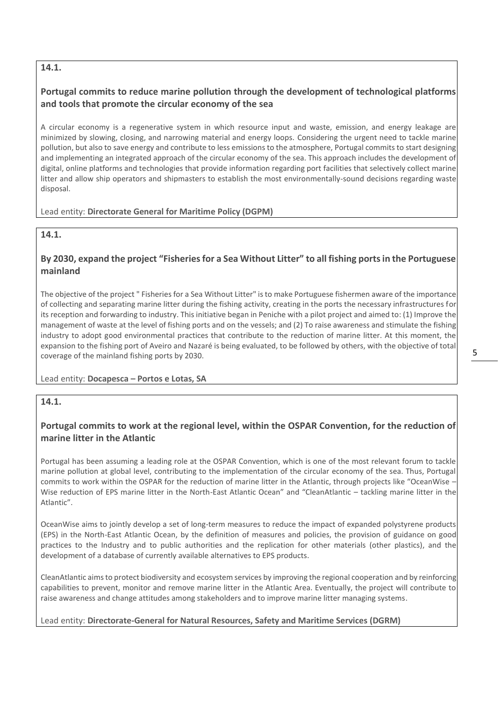### **14.1.**

# **Portugal commits to reduce marine pollution through the development of technological platforms and tools that promote the circular economy of the sea**

A circular economy is a regenerative system in which resource input and waste, emission, and energy leakage are minimized by slowing, closing, and narrowing material and energy loops. Considering the urgent need to tackle marine pollution, but also to save energy and contribute to less emissions to the atmosphere, Portugal commits to start designing and implementing an integrated approach of the circular economy of the sea. This approach includes the development of digital, online platforms and technologies that provide information regarding port facilities that selectively collect marine litter and allow ship operators and shipmasters to establish the most environmentally-sound decisions regarding waste disposal.

#### Lead entity: **Directorate General for Maritime Policy (DGPM)**

### **14.1.**

# **By 2030, expand the project "Fisheries for a Sea Without Litter" to all fishing ports in the Portuguese mainland**

The objective of the project " Fisheries for a Sea Without Litter" is to make Portuguese fishermen aware of the importance of collecting and separating marine litter during the fishing activity, creating in the ports the necessary infrastructures for its reception and forwarding to industry. This initiative began in Peniche with a pilot project and aimed to: (1) Improve the management of waste at the level of fishing ports and on the vessels; and (2) To raise awareness and stimulate the fishing industry to adopt good environmental practices that contribute to the reduction of marine litter. At this moment, the expansion to the fishing port of Aveiro and Nazaré is being evaluated, to be followed by others, with the objective of total coverage of the mainland fishing ports by 2030.

#### Lead entity: **Docapesca – Portos e Lotas, SA**

# **14.1.**

### **Portugal commits to work at the regional level, within the OSPAR Convention, for the reduction of marine litter in the Atlantic**

Portugal has been assuming a leading role at the OSPAR Convention, which is one of the most relevant forum to tackle marine pollution at global level, contributing to the implementation of the circular economy of the sea. Thus, Portugal commits to work within the OSPAR for the reduction of marine litter in the Atlantic, through projects like "OceanWise – Wise reduction of EPS marine litter in the North-East Atlantic Ocean" and "CleanAtlantic – tackling marine litter in the Atlantic".

OceanWise aims to jointly develop a set of long-term measures to reduce the impact of expanded polystyrene products (EPS) in the North-East Atlantic Ocean, by the definition of measures and policies, the provision of guidance on good practices to the Industry and to public authorities and the replication for other materials (other plastics), and the development of a database of currently available alternatives to EPS products.

CleanAtlantic aims to protect biodiversity and ecosystem services by improving the regional cooperation and by reinforcing capabilities to prevent, monitor and remove marine litter in the Atlantic Area. Eventually, the project will contribute to raise awareness and change attitudes among stakeholders and to improve marine litter managing systems.

#### Lead entity: **Directorate-General for Natural Resources, Safety and Maritime Services (DGRM)**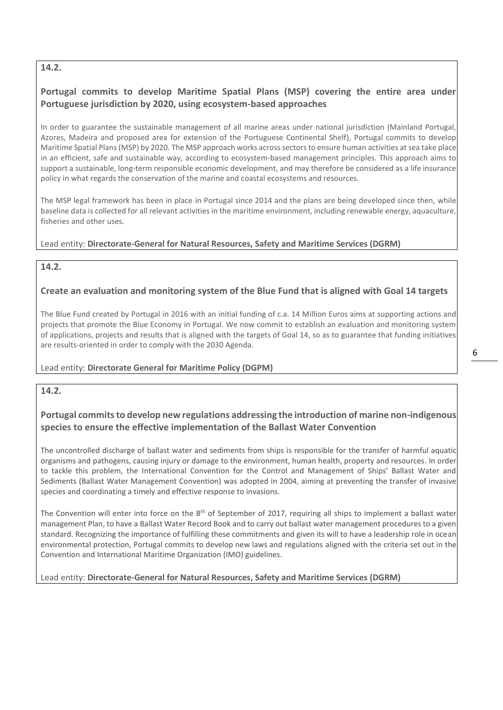### **14.2.**

# **Portugal commits to develop Maritime Spatial Plans (MSP) covering the entire area under Portuguese jurisdiction by 2020, using ecosystem-based approaches**

In order to guarantee the sustainable management of all marine areas under national jurisdiction (Mainland Portugal, Azores, Madeira and proposed area for extension of the Portuguese Continental Shelf), Portugal commits to develop Maritime Spatial Plans (MSP) by 2020. The MSP approach works across sectors to ensure human activities at sea take place in an efficient, safe and sustainable way, according to ecosystem-based management principles. This approach aims to support a sustainable, long-term responsible economic development, and may therefore be considered as a life insurance policy in what regards the conservation of the marine and coastal ecosystems and resources.

The MSP legal framework has been in place in Portugal since 2014 and the plans are being developed since then, while baseline data is collected for all relevant activities in the maritime environment, including renewable energy, aquaculture, fisheries and other uses.

### Lead entity: **Directorate-General for Natural Resources, Safety and Maritime Services (DGRM)**

### **14.2.**

### **Create an evaluation and monitoring system of the Blue Fund that is aligned with Goal 14 targets**

The Blue Fund created by Portugal in 2016 with an initial funding of c.a. 14 Million Euros aims at supporting actions and projects that promote the Blue Economy in Portugal. We now commit to establish an evaluation and monitoring system of applications, projects and results that is aligned with the targets of Goal 14, so as to guarantee that funding initiatives are results-oriented in order to comply with the 2030 Agenda.

### Lead entity: **Directorate General for Maritime Policy (DGPM)**

**14.2.** 

### **Portugal commits to develop new regulations addressing the introduction of marine non-indigenous species to ensure the effective implementation of the Ballast Water Convention**

The uncontrolled discharge of ballast water and sediments from ships is responsible for the transfer of harmful aquatic organisms and pathogens, causing injury or damage to the environment, human health, property and resources. In order to tackle this problem, the International Convention for the Control and Management of Ships' Ballast Water and Sediments (Ballast Water Management Convention) was adopted in 2004, aiming at preventing the transfer of invasive species and coordinating a timely and effective response to invasions.

The Convention will enter into force on the  $8<sup>th</sup>$  of September of 2017, requiring all ships to implement a ballast water management Plan, to have a Ballast Water Record Book and to carry out ballast water management procedures to a given standard. Recognizing the importance of fulfilling these commitments and given its will to have a leadership role in ocean environmental protection, Portugal commits to develop new laws and regulations aligned with the criteria set out in the Convention and International Maritime Organization (IMO) guidelines.

Lead entity: **Directorate-General for Natural Resources, Safety and Maritime Services (DGRM)**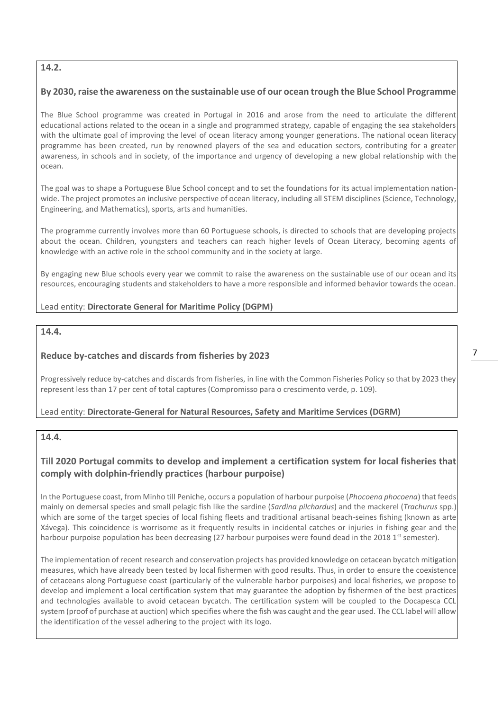### **14.2.**

### **By 2030, raise the awareness on the sustainable use of our ocean trough the Blue School Programme**

The Blue School programme was created in Portugal in 2016 and arose from the need to articulate the different educational actions related to the ocean in a single and programmed strategy, capable of engaging the sea stakeholders with the ultimate goal of improving the level of ocean literacy among younger generations. The national ocean literacy programme has been created, run by renowned players of the sea and education sectors, contributing for a greater awareness, in schools and in society, of the importance and urgency of developing a new global relationship with the ocean.

The goal was to shape a Portuguese Blue School concept and to set the foundations for its actual implementation nationwide. The project promotes an inclusive perspective of ocean literacy, including all STEM disciplines (Science, Technology, Engineering, and Mathematics), sports, arts and humanities.

The programme currently involves more than 60 Portuguese schools, is directed to schools that are developing projects about the ocean. Children, youngsters and teachers can reach higher levels of Ocean Literacy, becoming agents of knowledge with an active role in the school community and in the society at large.

By engaging new Blue schools every year we commit to raise the awareness on the sustainable use of our ocean and its resources, encouraging students and stakeholders to have a more responsible and informed behavior towards the ocean.

#### Lead entity: **Directorate General for Maritime Policy (DGPM)**

#### **14.4.**

### **Reduce by-catches and discards from fisheries by 2023**

Progressively reduce by-catches and discards from fisheries, in line with the Common Fisheries Policy so that by 2023 they represent less than 17 per cent of total captures (Compromisso para o crescimento verde, p. 109).

### Lead entity: **Directorate-General for Natural Resources, Safety and Maritime Services (DGRM)**

#### **14.4.**

# **Till 2020 Portugal commits to develop and implement a certification system for local fisheries that comply with dolphin-friendly practices (harbour purpoise)**

In the Portuguese coast, from Minho till Peniche, occurs a population of harbour purpoise (*Phocoena phocoena*) that feeds mainly on demersal species and small pelagic fish like the sardine (*Sardina pilchardus*) and the mackerel (*Trachurus* spp.) which are some of the target species of local fishing fleets and traditional artisanal beach-seines fishing (known as arte Xávega). This coincidence is worrisome as it frequently results in incidental catches or injuries in fishing gear and the harbour purpoise population has been decreasing (27 harbour purpoises were found dead in the 2018 1<sup>st</sup> semester).

The implementation of recent research and conservation projects has provided knowledge on cetacean bycatch mitigation measures, which have already been tested by local fishermen with good results. Thus, in order to ensure the coexistence of cetaceans along Portuguese coast (particularly of the vulnerable harbor purpoises) and local fisheries, we propose to develop and implement a local certification system that may guarantee the adoption by fishermen of the best practices and technologies available to avoid cetacean bycatch. The certification system will be coupled to the Docapesca CCL system (proof of purchase at auction) which specifies where the fish was caught and the gear used. The CCL label will allow the identification of the vessel adhering to the project with its logo.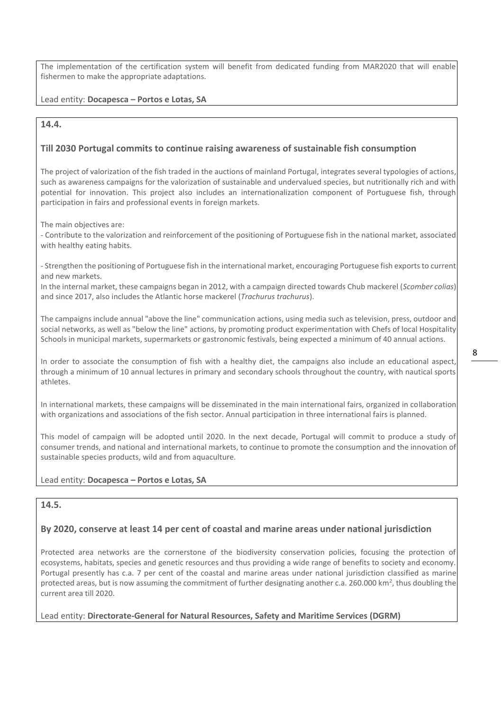The implementation of the certification system will benefit from dedicated funding from MAR2020 that will enable fishermen to make the appropriate adaptations.

#### Lead entity: **Docapesca – Portos e Lotas, SA**

#### **14.4.**

#### **Till 2030 Portugal commits to continue raising awareness of sustainable fish consumption**

The project of valorization of the fish traded in the auctions of mainland Portugal, integrates several typologies of actions, such as awareness campaigns for the valorization of sustainable and undervalued species, but nutritionally rich and with potential for innovation. This project also includes an internationalization component of Portuguese fish, through participation in fairs and professional events in foreign markets.

The main objectives are:

- Contribute to the valorization and reinforcement of the positioning of Portuguese fish in the national market, associated with healthy eating habits.

- Strengthen the positioning of Portuguese fish in the international market, encouraging Portuguese fish exports to current and new markets.

In the internal market, these campaigns began in 2012, with a campaign directed towards Chub mackerel (*Scomber colias*) and since 2017, also includes the Atlantic horse mackerel (*Trachurus trachurus*).

The campaigns include annual "above the line" communication actions, using media such as television, press, outdoor and social networks, as well as "below the line" actions, by promoting product experimentation with Chefs of local Hospitality Schools in municipal markets, supermarkets or gastronomic festivals, being expected a minimum of 40 annual actions.

In order to associate the consumption of fish with a healthy diet, the campaigns also include an educational aspect, through a minimum of 10 annual lectures in primary and secondary schools throughout the country, with nautical sports athletes.

In international markets, these campaigns will be disseminated in the main international fairs, organized in collaboration with organizations and associations of the fish sector. Annual participation in three international fairs is planned.

This model of campaign will be adopted until 2020. In the next decade, Portugal will commit to produce a study of consumer trends, and national and international markets, to continue to promote the consumption and the innovation of sustainable species products, wild and from aquaculture.

#### Lead entity: **Docapesca – Portos e Lotas, SA**

### **14.5.**

#### **By 2020, conserve at least 14 per cent of coastal and marine areas under national jurisdiction**

Protected area networks are the cornerstone of the biodiversity conservation policies, focusing the protection of ecosystems, habitats, species and genetic resources and thus providing a wide range of benefits to society and economy. Portugal presently has c.a. 7 per cent of the coastal and marine areas under national jurisdiction classified as marine protected areas, but is now assuming the commitment of further designating another c.a. 260.000 km<sup>2</sup>, thus doubling the current area till 2020.

Lead entity: **Directorate-General for Natural Resources, Safety and Maritime Services (DGRM)**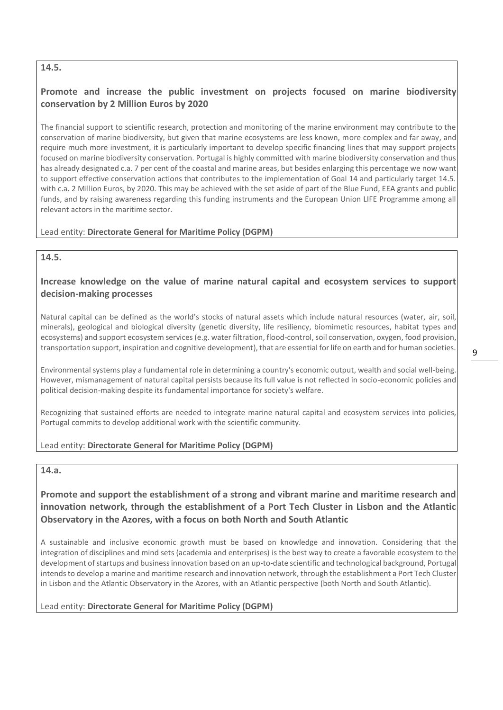### **14.5.**

# **Promote and increase the public investment on projects focused on marine biodiversity conservation by 2 Million Euros by 2020**

The financial support to scientific research, protection and monitoring of the marine environment may contribute to the conservation of marine biodiversity, but given that marine ecosystems are less known, more complex and far away, and require much more investment, it is particularly important to develop specific financing lines that may support projects focused on marine biodiversity conservation. Portugal is highly committed with marine biodiversity conservation and thus has already designated c.a. 7 per cent of the coastal and marine areas, but besides enlarging this percentage we now want to support effective conservation actions that contributes to the implementation of Goal 14 and particularly target 14.5. with c.a. 2 Million Euros, by 2020. This may be achieved with the set aside of part of the Blue Fund, EEA grants and public funds, and by raising awareness regarding this funding instruments and the European Union LIFE Programme among all relevant actors in the maritime sector.

### Lead entity: **Directorate General for Maritime Policy (DGPM)**

### **14.5.**

### **Increase knowledge on the value of marine natural capital and ecosystem services to support decision-making processes**

Natural capital can be defined as the world's stocks of natural assets which include natural resources (water, air, soil, minerals), geological and biological diversity (genetic diversity, life resiliency, biomimetic resources, habitat types and ecosystems) and support ecosystem services (e.g. water filtration, flood-control, soil conservation, oxygen, food provision, transportation support, inspiration and cognitive development), that are essential for life on earth and for human societies.

Environmental systems play a fundamental role in determining a country's economic output, wealth and social well-being. However, mismanagement of natural capital persists because its full value is not reflected in socio-economic policies and political decision-making despite its fundamental importance for society's welfare.

Recognizing that sustained efforts are needed to integrate marine natural capital and ecosystem services into policies, Portugal commits to develop additional work with the scientific community.

### Lead entity: **Directorate General for Maritime Policy (DGPM)**

#### **14.a.**

**Promote and support the establishment of a strong and vibrant marine and maritime research and innovation network, through the establishment of a Port Tech Cluster in Lisbon and the Atlantic Observatory in the Azores, with a focus on both North and South Atlantic**

A sustainable and inclusive economic growth must be based on knowledge and innovation. Considering that the integration of disciplines and mind sets (academia and enterprises) is the best way to create a favorable ecosystem to the development of startups and business innovation based on an up-to-date scientific and technological background, Portugal intends to develop a marine and maritime research and innovation network, through the establishment a Port Tech Cluster in Lisbon and the Atlantic Observatory in the Azores, with an Atlantic perspective (both North and South Atlantic).

#### Lead entity: **Directorate General for Maritime Policy (DGPM)**

9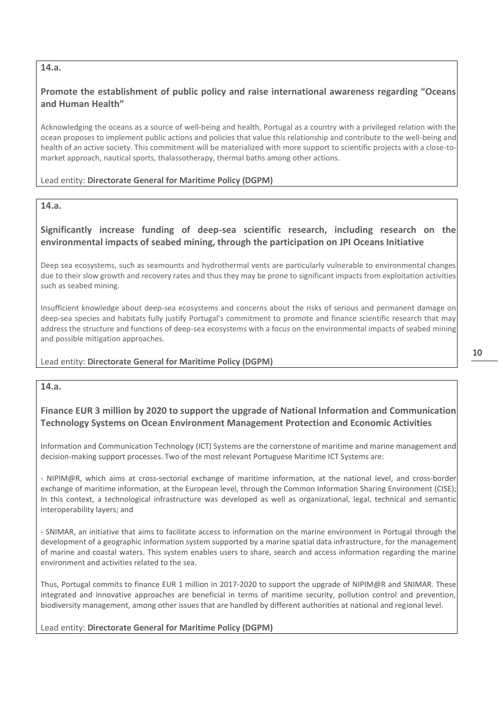### **14.a.**

### **Promote the establishment of public policy and raise international awareness regarding "Oceans and Human Health"**

Acknowledging the oceans as a source of well-being and health, Portugal as a country with a privileged relation with the ocean proposes to implement public actions and policies that value this relationship and contribute to the well-being and health of an active society. This commitment will be materialized with more support to scientific projects with a close-tomarket approach, nautical sports, thalassotherapy, thermal baths among other actions.

#### Lead entity: **Directorate General for Maritime Policy (DGPM)**

#### **14.a.**

### **Significantly increase funding of deep-sea scientific research, including research on the environmental impacts of seabed mining, through the participation on JPI Oceans Initiative**

Deep sea ecosystems, such as seamounts and hydrothermal vents are particularly vulnerable to environmental changes due to their slow growth and recovery rates and thus they may be prone to significant impacts from exploitation activities such as seabed mining.

Insufficient knowledge about deep-sea ecosystems and concerns about the risks of serious and permanent damage on deep-sea species and habitats fully justify Portugal's commitment to promote and finance scientific research that may address the structure and functions of deep-sea ecosystems with a focus on the environmental impacts of seabed mining and possible mitigation approaches.

#### Lead entity: **Directorate General for Maritime Policy (DGPM)**

**14.a.**

### **Finance EUR 3 million by 2020 to support the upgrade of National Information and Communication Technology Systems on Ocean Environment Management Protection and Economic Activities**

Information and Communication Technology (ICT) Systems are the cornerstone of maritime and marine management and decision-making support processes. Two of the most relevant Portuguese Maritime ICT Systems are:

- NIPIM@R, which aims at cross-sectorial exchange of maritime information, at the national level, and cross-border exchange of maritime information, at the European level, through the Common Information Sharing Environment (CISE); In this context, a technological infrastructure was developed as well as organizational, legal, technical and semantic interoperability layers; and

- SNIMAR, an initiative that aims to facilitate access to information on the marine environment in Portugal through the development of a geographic information system supported by a marine spatial data infrastructure, for the management of marine and coastal waters. This system enables users to share, search and access information regarding the marine environment and activities related to the sea.

Thus, Portugal commits to finance EUR 1 million in 2017-2020 to support the upgrade of NIPIM@R and SNIMAR. These integrated and innovative approaches are beneficial in terms of maritime security, pollution control and prevention, biodiversity management, among other issues that are handled by different authorities at national and regional level.

#### Lead entity: **Directorate General for Maritime Policy (DGPM)**

10